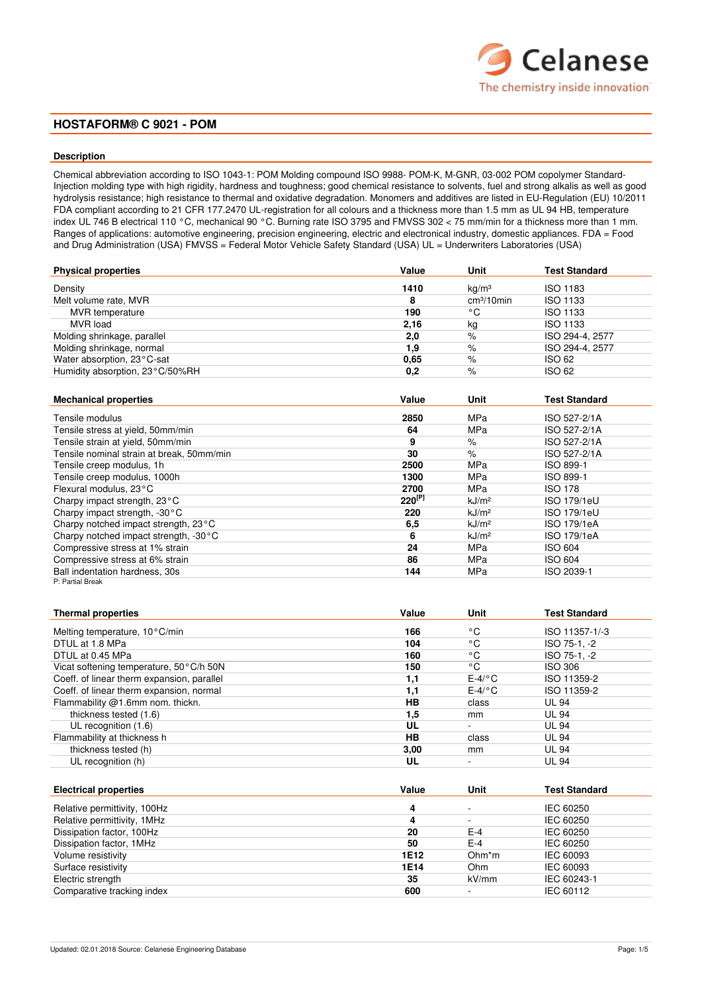# Celanese The chemistry inside innovation

# **HOSTAFORM® C 9021 - POM**

## **Description**

Chemical abbreviation according to ISO 1043-1: POM Molding compound ISO 9988- POM-K, M-GNR, 03-002 POM copolymer Standard-Injection molding type with high rigidity, hardness and toughness; good chemical resistance to solvents, fuel and strong alkalis as well as good hydrolysis resistance; high resistance to thermal and oxidative degradation. Monomers and additives are listed in EU-Regulation (EU) 10/2011 FDA compliant according to 21 CFR 177.2470 UL-registration for all colours and a thickness more than 1.5 mm as UL 94 HB, temperature index UL 746 B electrical 110 °C, mechanical 90 °C. Burning rate ISO 3795 and FMVSS 302 < 75 mm/min for a thickness more than 1 mm. Ranges of applications: automotive engineering, precision engineering, electric and electronical industry, domestic appliances. FDA = Food and Drug Administration (USA) FMVSS = Federal Motor Vehicle Safety Standard (USA) UL = Underwriters Laboratories (USA)

| <b>Physical properties</b>      | Value | Unit              | <b>Test Standard</b> |
|---------------------------------|-------|-------------------|----------------------|
| Density                         | 1410  | kq/m <sup>3</sup> | <b>ISO 1183</b>      |
| Melt volume rate, MVR           | 8     | $cm3/10$ min      | <b>ISO 1133</b>      |
| MVR temperature                 | 190   | ۰c                | <b>ISO 1133</b>      |
| MVR load                        | 2,16  | kg                | <b>ISO 1133</b>      |
| Molding shrinkage, parallel     | 2,0   | %                 | ISO 294-4, 2577      |
| Molding shrinkage, normal       | 1.9   | %                 | ISO 294-4, 2577      |
| Water absorption, 23°C-sat      | 0,65  | $\%$              | <b>ISO 62</b>        |
| Humidity absorption, 23°C/50%RH | 0,2   | %                 | <b>ISO 62</b>        |

| <b>Mechanical properties</b>              | Value       | Unit              | <b>Test Standard</b> |
|-------------------------------------------|-------------|-------------------|----------------------|
| Tensile modulus                           | 2850        | MPa               | ISO 527-2/1A         |
| Tensile stress at yield, 50mm/min         | 64          | MPa               | ISO 527-2/1A         |
| Tensile strain at yield, 50mm/min         | 9           | %                 | ISO 527-2/1A         |
| Tensile nominal strain at break, 50mm/min | 30          | $\%$              | ISO 527-2/1A         |
| Tensile creep modulus, 1h                 | 2500        | MPa               | ISO 899-1            |
| Tensile creep modulus, 1000h              | 1300        | MPa               | ISO 899-1            |
| Flexural modulus, 23°C                    | 2700        | MPa               | <b>ISO 178</b>       |
| Charpy impact strength, 23°C              | $220^{[P]}$ | kJ/m <sup>2</sup> | ISO 179/1eU          |
| Charpy impact strength, -30°C             | 220         | kJ/m <sup>2</sup> | ISO 179/1eU          |
| Charpy notched impact strength, 23°C      | 6,5         | kJ/m <sup>2</sup> | <b>ISO 179/1eA</b>   |
| Charpy notched impact strength, -30°C     | 6           | kJ/m <sup>2</sup> | ISO 179/1eA          |
| Compressive stress at 1% strain           | 24          | MPa               | <b>ISO 604</b>       |
| Compressive stress at 6% strain           | 86          | MPa               | <b>ISO 604</b>       |
| Ball indentation hardness, 30s            | 144         | MPa               | ISO 2039-1           |
| P: Partial Break                          |             |                   |                      |

| <b>Thermal properties</b>                  | Value | Unit      | <b>Test Standard</b> |
|--------------------------------------------|-------|-----------|----------------------|
| Melting temperature, 10°C/min              | 166   | ۰c        | ISO 11357-1/-3       |
| DTUL at 1.8 MPa                            | 104   | ۰c        | ISO 75-1, -2         |
| DTUL at 0.45 MPa                           | 160   | ۰c        | ISO 75-1, -2         |
| Vicat softening temperature, 50°C/h 50N    | 150   | °C        | <b>ISO 306</b>       |
| Coeff. of linear therm expansion, parallel | 1,1   | $E-4$ /°C | ISO 11359-2          |
| Coeff. of linear therm expansion, normal   | 1,1   | $E-4$ /°C | ISO 11359-2          |
| Flammability @1.6mm nom. thickn.           | HВ    | class     | <b>UL 94</b>         |
| thickness tested (1.6)                     | 1.5   | mm        | <b>UL 94</b>         |
| UL recognition (1.6)                       | UL    | ۰         | <b>UL 94</b>         |
| Flammability at thickness h                | HB    | class     | <b>UL 94</b>         |
| thickness tested (h)                       | 3,00  | mm        | <b>UL 94</b>         |
| UL recognition (h)                         | UL    |           | <b>UL 94</b>         |

| <b>Electrical properties</b> | Value | Unit                     | <b>Test Standard</b> |
|------------------------------|-------|--------------------------|----------------------|
| Relative permittivity, 100Hz | 4     |                          | IEC 60250            |
| Relative permittivity, 1MHz  |       | $\overline{\phantom{a}}$ | IEC 60250            |
| Dissipation factor, 100Hz    | 20    | $E-4$                    | IEC 60250            |
| Dissipation factor, 1MHz     | 50    | $E-4$                    | IEC 60250            |
| Volume resistivity           | 1E12  | Ohm <sup>*</sup> m       | IEC 60093            |
| Surface resistivity          | 1E14  | Ohm                      | IEC 60093            |
| Electric strength            | 35    | kV/mm                    | IEC 60243-1          |
| Comparative tracking index   | 600   |                          | IEC 60112            |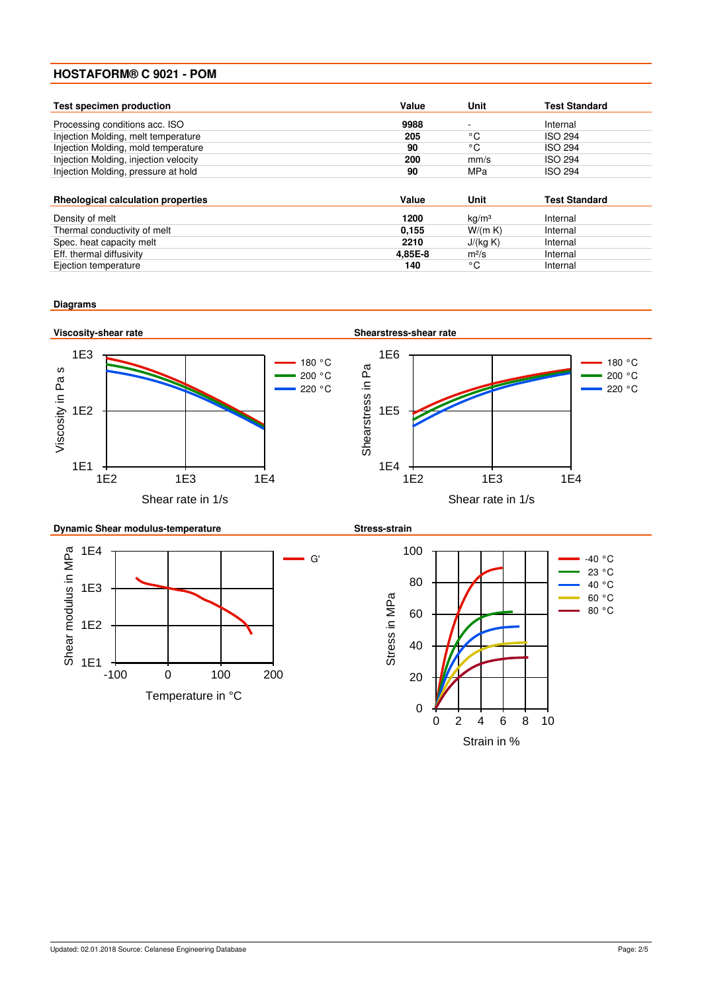| <b>Test specimen production</b>           | Value   | Unit                     | <b>Test Standard</b> |
|-------------------------------------------|---------|--------------------------|----------------------|
| Processing conditions acc. ISO            | 9988    | $\overline{\phantom{a}}$ | Internal             |
| Injection Molding, melt temperature       | 205     | ۰C                       | <b>ISO 294</b>       |
| Injection Molding, mold temperature       | 90      | °C                       | <b>ISO 294</b>       |
| Injection Molding, injection velocity     | 200     | mm/s                     | <b>ISO 294</b>       |
| Injection Molding, pressure at hold       | 90      | MPa                      | <b>ISO 294</b>       |
| <b>Rheological calculation properties</b> | Value   | Unit                     | <b>Test Standard</b> |
| Density of melt                           | 1200    | kq/m <sup>3</sup>        | Internal             |
| Thermal conductivity of melt              | 0,155   | W/(m K)                  | Internal             |
| Spec. heat capacity melt                  | 2210    | J/(kq K)                 | Internal             |
| Eff. thermal diffusivity                  | 4.85E-8 | $m^2/s$                  | Internal             |
| Ejection temperature                      | 140     | °C                       | Internal             |

## **Diagrams**

1E1



-100 0 100 200 Temperature in °C

0 2 4 6 8 10 Strain in %

0

20

40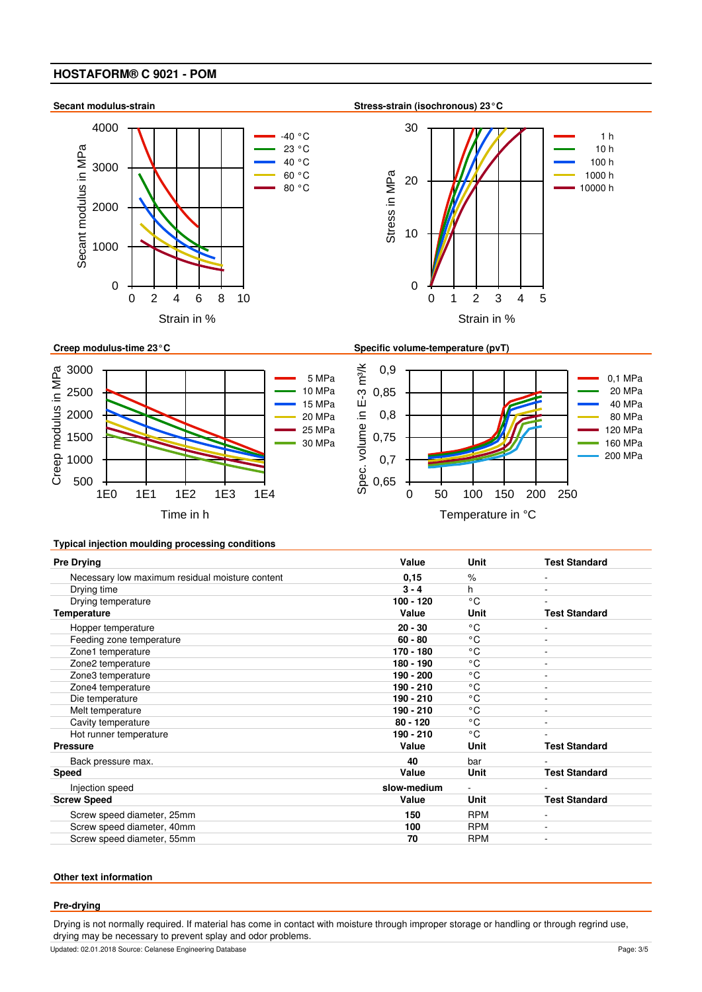





**Secant modulus-strain Stress-strain (isochronous) 23°C**







## **Typical injection moulding processing conditions**

| <b>Pre Drying</b>                               | Value       | Unit         | <b>Test Standard</b> |
|-------------------------------------------------|-------------|--------------|----------------------|
| Necessary low maximum residual moisture content | 0, 15       | $\%$         | ۰                    |
| Drying time                                     | $3 - 4$     | h            |                      |
| Drying temperature                              | $100 - 120$ | °C           |                      |
| <b>Temperature</b>                              | Value       | Unit         | <b>Test Standard</b> |
| Hopper temperature                              | $20 - 30$   | °C           |                      |
| Feeding zone temperature                        | $60 - 80$   | °C           | ٠                    |
| Zone1 temperature                               | 170 - 180   | $\circ$ C    |                      |
| Zone2 temperature                               | 180 - 190   | °C           |                      |
| Zone3 temperature                               | $190 - 200$ | °C           |                      |
| Zone4 temperature                               | 190 - 210   | $^{\circ}$ C | ٠                    |
| Die temperature                                 | 190 - 210   | °C           |                      |
| Melt temperature                                | 190 - 210   | °C           |                      |
| Cavity temperature                              | $80 - 120$  | °C           |                      |
| Hot runner temperature                          | 190 - 210   | °C           |                      |
| <b>Pressure</b>                                 | Value       | Unit         | <b>Test Standard</b> |
| Back pressure max.                              | 40          | bar          |                      |
| <b>Speed</b>                                    | Value       | Unit         | <b>Test Standard</b> |
| Injection speed                                 | slow-medium |              |                      |
| <b>Screw Speed</b>                              | Value       | Unit         | <b>Test Standard</b> |
| Screw speed diameter, 25mm                      | 150         | <b>RPM</b>   | ۰                    |
| Screw speed diameter, 40mm                      | 100         | <b>RPM</b>   | ۰                    |
| Screw speed diameter, 55mm                      | 70          | <b>RPM</b>   | ۰                    |

## **Other text information**

#### **Pre-drying**

Drying is not normally required. If material has come in contact with moisture through improper storage or handling or through regrind use, drying may be necessary to prevent splay and odor problems.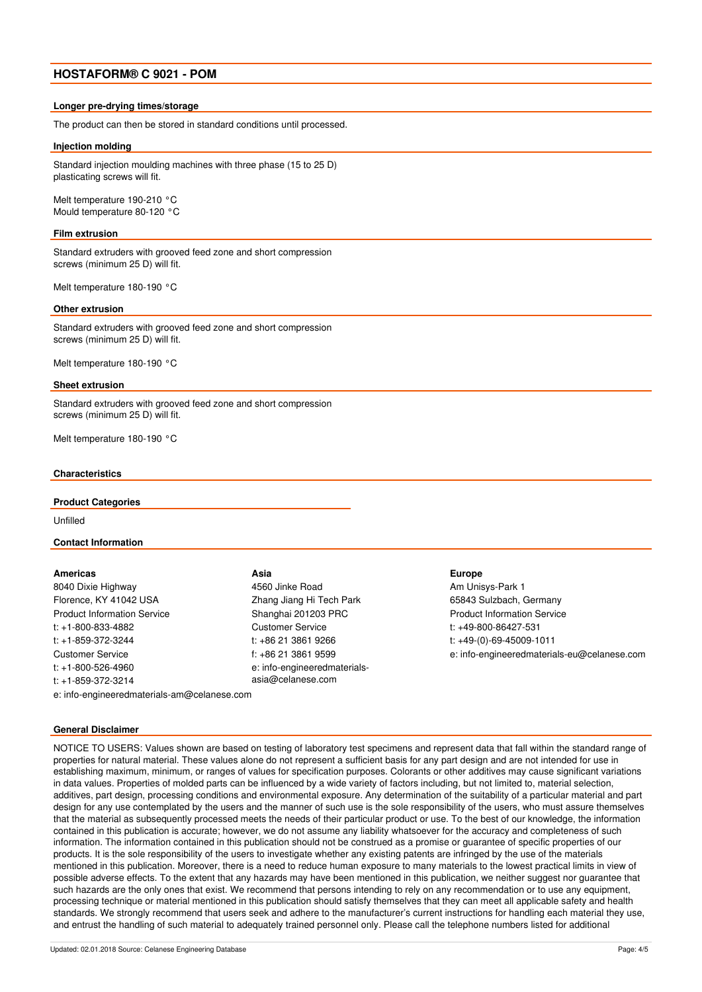#### **Longer pre-drying times/storage**

The product can then be stored in standard conditions until processed.

#### **Injection molding**

Standard injection moulding machines with three phase (15 to 25 D) plasticating screws will fit.

Melt temperature 190-210 °C Mould temperature 80-120 °C

#### **Film extrusion**

Standard extruders with grooved feed zone and short compression screws (minimum 25 D) will fit.

Melt temperature 180-190 °C

#### **Other extrusion**

Standard extruders with grooved feed zone and short compression screws (minimum 25 D) will fit.

Melt temperature 180-190 °C

#### **Sheet extrusion**

Standard extruders with grooved feed zone and short compression screws (minimum 25 D) will fit.

Melt temperature 180-190 °C

### **Characteristics**

#### **Product Categories**

Unfilled

#### **Contact Information**

#### **Americas**

8040 Dixie Highway Florence, KY 41042 USA Product Information Service t: +1-800-833-4882 t: +1-859-372-3244 Customer Service t: +1-800-526-4960 t: +1-859-372-3214 e: info-engineeredmaterials-am@celanese.com

**Asia** 4560 Jinke Road

Zhang Jiang Hi Tech Park Shanghai 201203 PRC Customer Service t: +86 21 3861 9266 f: +86 21 3861 9599 e: info-engineeredmaterialsasia@celanese.com

#### **Europe**

Am Unisys-Park 1 65843 Sulzbach, Germany Product Information Service t: +49-800-86427-531 t: +49-(0)-69-45009-1011 e: info-engineeredmaterials-eu@celanese.com

# **General Disclaimer**

NOTICE TO USERS: Values shown are based on testing of laboratory test specimens and represent data that fall within the standard range of properties for natural material. These values alone do not represent a sufficient basis for any part design and are not intended for use in establishing maximum, minimum, or ranges of values for specification purposes. Colorants or other additives may cause significant variations in data values. Properties of molded parts can be influenced by a wide variety of factors including, but not limited to, material selection, additives, part design, processing conditions and environmental exposure. Any determination of the suitability of a particular material and part design for any use contemplated by the users and the manner of such use is the sole responsibility of the users, who must assure themselves that the material as subsequently processed meets the needs of their particular product or use. To the best of our knowledge, the information contained in this publication is accurate; however, we do not assume any liability whatsoever for the accuracy and completeness of such information. The information contained in this publication should not be construed as a promise or guarantee of specific properties of our products. It is the sole responsibility of the users to investigate whether any existing patents are infringed by the use of the materials mentioned in this publication. Moreover, there is a need to reduce human exposure to many materials to the lowest practical limits in view of possible adverse effects. To the extent that any hazards may have been mentioned in this publication, we neither suggest nor guarantee that such hazards are the only ones that exist. We recommend that persons intending to rely on any recommendation or to use any equipment, processing technique or material mentioned in this publication should satisfy themselves that they can meet all applicable safety and health standards. We strongly recommend that users seek and adhere to the manufacturer's current instructions for handling each material they use. and entrust the handling of such material to adequately trained personnel only. Please call the telephone numbers listed for additional